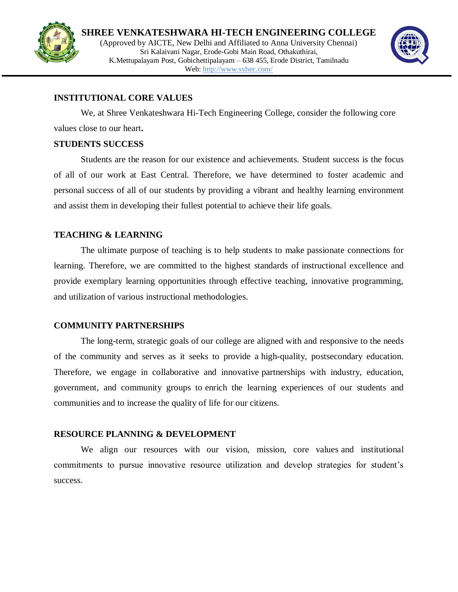



### **INSTITUTIONAL CORE VALUES**

We, at Shree Venkateshwara Hi-Tech Engineering College, consider the following core values close to our heart**.**

# **STUDENTS SUCCESS**

Students are the reason for our existence and achievements. Student success is the focus of all of our work at East Central. Therefore, we have determined to foster academic and personal success of all of our students by providing a vibrant and healthy learning environment and assist them in developing their fullest potential to achieve their life goals.

# **TEACHING & LEARNING**

The ultimate purpose of teaching is to help students to make passionate connections for learning. Therefore, we are committed to the highest standards of instructional excellence and provide exemplary learning opportunities through effective teaching, innovative programming, and utilization of various instructional methodologies.

### **COMMUNITY PARTNERSHIPS**

The long-term, strategic goals of our college are aligned with and responsive to the needs of the community and serves as it seeks to provide a high-quality, postsecondary education. Therefore, we engage in collaborative and innovative partnerships with industry, education, government, and community groups to enrich the learning experiences of our students and communities and to increase the quality of life for our citizens.

### **RESOURCE PLANNING & DEVELOPMENT**

We align our resources with our vision, mission, core values and institutional commitments to pursue innovative resource utilization and develop strategies for student's success.